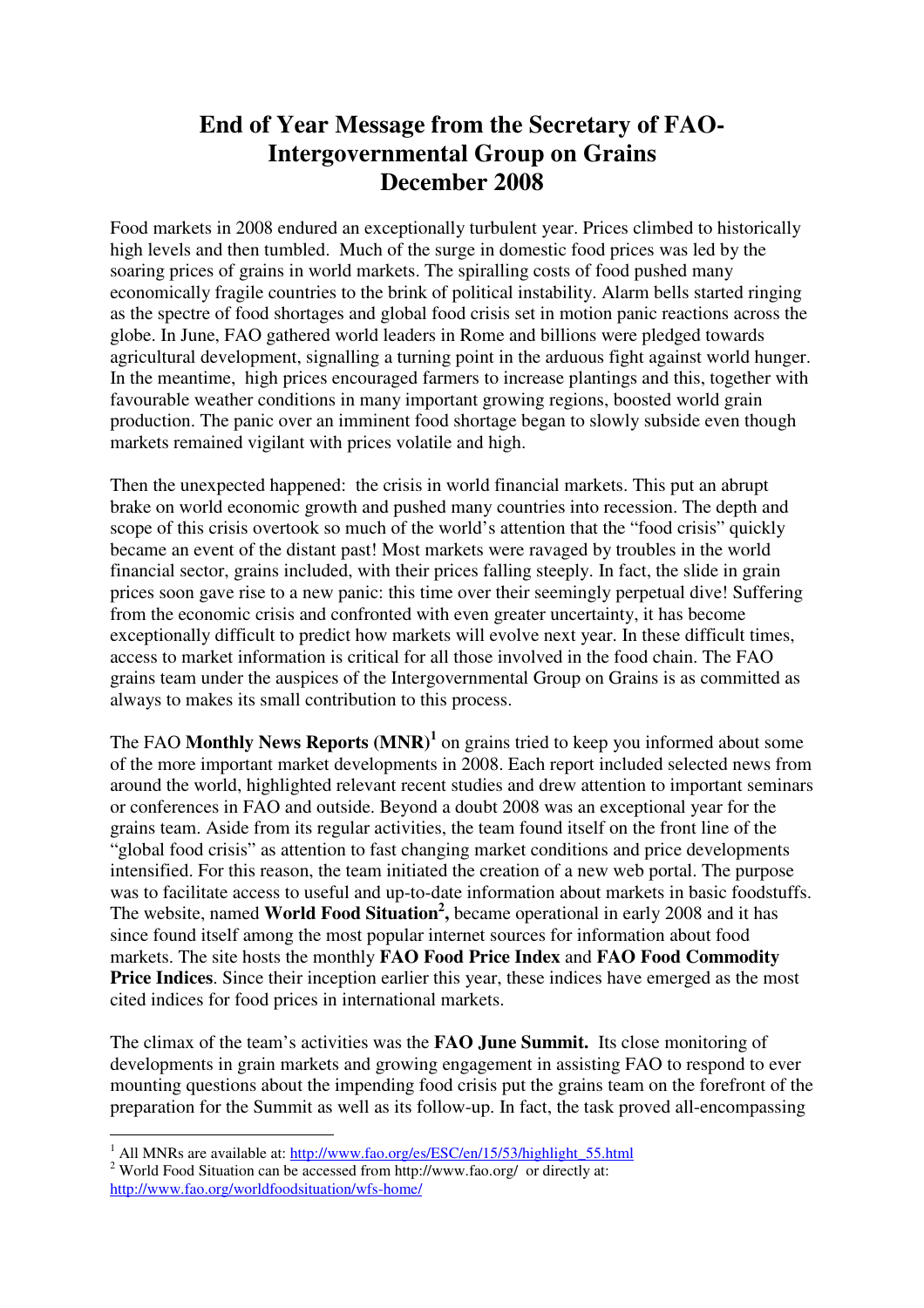## **End of Year Message from the Secretary of FAO-Intergovernmental Group on Grains December 2008**

Food markets in 2008 endured an exceptionally turbulent year. Prices climbed to historically high levels and then tumbled. Much of the surge in domestic food prices was led by the soaring prices of grains in world markets. The spiralling costs of food pushed many economically fragile countries to the brink of political instability. Alarm bells started ringing as the spectre of food shortages and global food crisis set in motion panic reactions across the globe. In June, FAO gathered world leaders in Rome and billions were pledged towards agricultural development, signalling a turning point in the arduous fight against world hunger. In the meantime, high prices encouraged farmers to increase plantings and this, together with favourable weather conditions in many important growing regions, boosted world grain production. The panic over an imminent food shortage began to slowly subside even though markets remained vigilant with prices volatile and high.

Then the unexpected happened: the crisis in world financial markets. This put an abrupt brake on world economic growth and pushed many countries into recession. The depth and scope of this crisis overtook so much of the world's attention that the "food crisis" quickly became an event of the distant past! Most markets were ravaged by troubles in the world financial sector, grains included, with their prices falling steeply. In fact, the slide in grain prices soon gave rise to a new panic: this time over their seemingly perpetual dive! Suffering from the economic crisis and confronted with even greater uncertainty, it has become exceptionally difficult to predict how markets will evolve next year. In these difficult times, access to market information is critical for all those involved in the food chain. The FAO grains team under the auspices of the Intergovernmental Group on Grains is as committed as always to makes its small contribution to this process.

The FAO Monthly News Reports (MNR)<sup>1</sup> on grains tried to keep you informed about some of the more important market developments in 2008. Each report included selected news from around the world, highlighted relevant recent studies and drew attention to important seminars or conferences in FAO and outside. Beyond a doubt 2008 was an exceptional year for the grains team. Aside from its regular activities, the team found itself on the front line of the "global food crisis" as attention to fast changing market conditions and price developments intensified. For this reason, the team initiated the creation of a new web portal. The purpose was to facilitate access to useful and up-to-date information about markets in basic foodstuffs. The website, named **World Food Situation<sup>2</sup> ,** became operational in early 2008 and it has since found itself among the most popular internet sources for information about food markets. The site hosts the monthly **FAO Food Price Index** and **FAO Food Commodity Price Indices**. Since their inception earlier this year, these indices have emerged as the most cited indices for food prices in international markets.

The climax of the team's activities was the **FAO June Summit.** Its close monitoring of developments in grain markets and growing engagement in assisting FAO to respond to ever mounting questions about the impending food crisis put the grains team on the forefront of the preparation for the Summit as well as its follow-up. In fact, the task proved all-encompassing

<sup>&</sup>lt;sup>1</sup> All MNRs are available at: http://www.fao.org/es/ESC/en/15/53/highlight\_55.html

<sup>&</sup>lt;sup>2</sup> World Food Situation can be accessed from http://www.fao.org/ or directly at: http://www.fao.org/worldfoodsituation/wfs-home/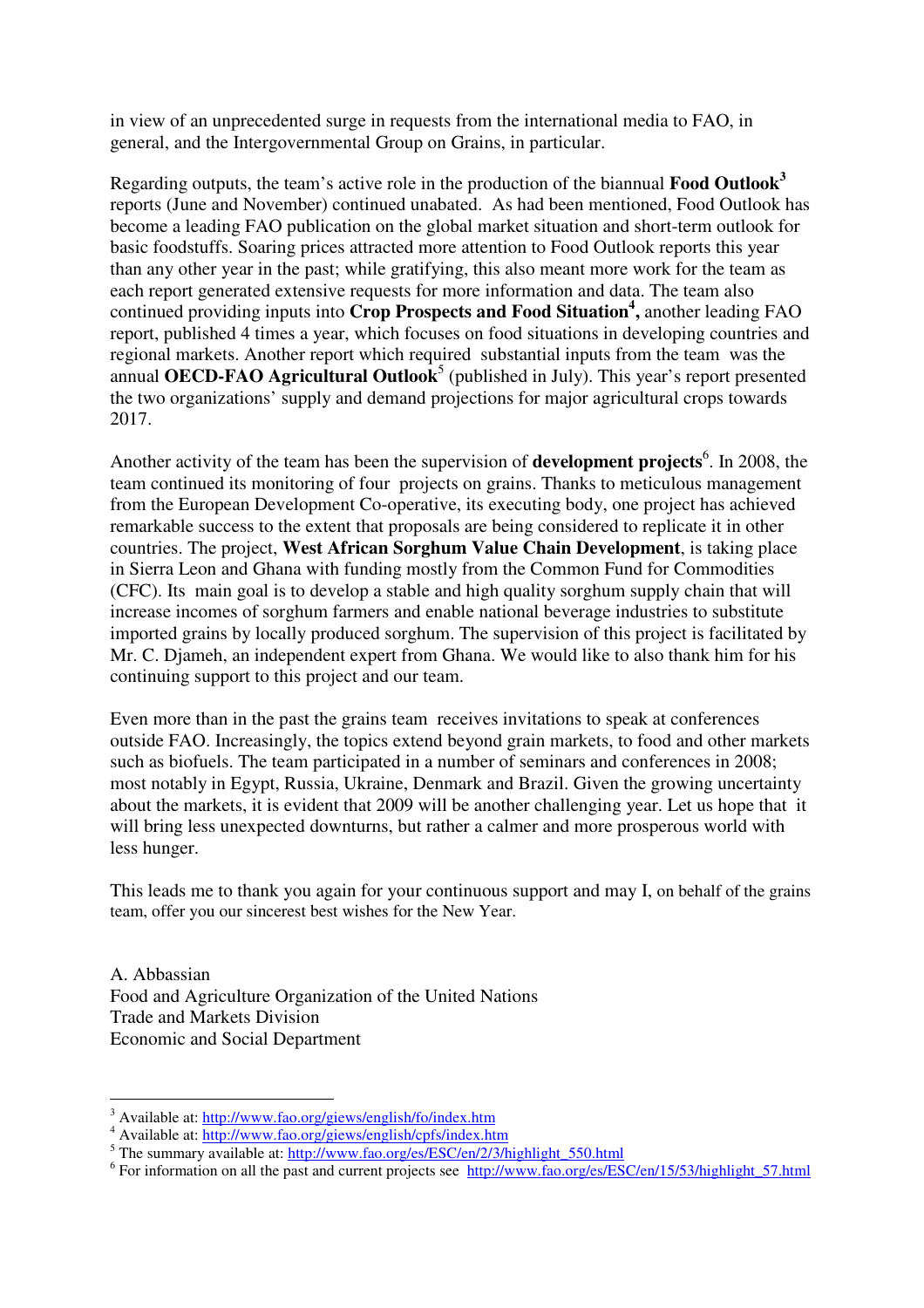in view of an unprecedented surge in requests from the international media to FAO, in general, and the Intergovernmental Group on Grains, in particular.

Regarding outputs, the team's active role in the production of the biannual **Food Outlook<sup>3</sup>** reports (June and November) continued unabated. As had been mentioned, Food Outlook has become a leading FAO publication on the global market situation and short-term outlook for basic foodstuffs. Soaring prices attracted more attention to Food Outlook reports this year than any other year in the past; while gratifying, this also meant more work for the team as each report generated extensive requests for more information and data. The team also continued providing inputs into **Crop Prospects and Food Situation<sup>4</sup> ,** another leading FAO report, published 4 times a year, which focuses on food situations in developing countries and regional markets. Another report which required substantial inputs from the team was the annual **OECD-FAO Agricultural Outlook**<sup>5</sup> (published in July). This year's report presented the two organizations' supply and demand projections for major agricultural crops towards 2017.

Another activity of the team has been the supervision of **development projects**<sup>6</sup>. In 2008, the team continued its monitoring of four projects on grains. Thanks to meticulous management from the European Development Co-operative, its executing body, one project has achieved remarkable success to the extent that proposals are being considered to replicate it in other countries. The project, **West African Sorghum Value Chain Development**, is taking place in Sierra Leon and Ghana with funding mostly from the Common Fund for Commodities (CFC). Its main goal is to develop a stable and high quality sorghum supply chain that will increase incomes of sorghum farmers and enable national beverage industries to substitute imported grains by locally produced sorghum. The supervision of this project is facilitated by Mr. C. Djameh, an independent expert from Ghana. We would like to also thank him for his continuing support to this project and our team.

Even more than in the past the grains team receives invitations to speak at conferences outside FAO. Increasingly, the topics extend beyond grain markets, to food and other markets such as biofuels. The team participated in a number of seminars and conferences in 2008; most notably in Egypt, Russia, Ukraine, Denmark and Brazil. Given the growing uncertainty about the markets, it is evident that 2009 will be another challenging year. Let us hope that it will bring less unexpected downturns, but rather a calmer and more prosperous world with less hunger.

This leads me to thank you again for your continuous support and may I, on behalf of the grains team, offer you our sincerest best wishes for the New Year.

A. Abbassian Food and Agriculture Organization of the United Nations Trade and Markets Division Economic and Social Department

<sup>&</sup>lt;sup>3</sup> Available at: http://www.fao.org/giews/english/fo/index.htm

<sup>&</sup>lt;sup>4</sup> Available at: http://www.fao.org/giews/english/cpfs/index.htm<br><sup>5</sup> The summary available at: http://www.fao.org/es/ESC/en/2/3/highlight\_550.html

<sup>&</sup>lt;sup>6</sup> For information on all the past and current projects see http://www.fao.org/es/ESC/en/15/53/highlight\_57.html